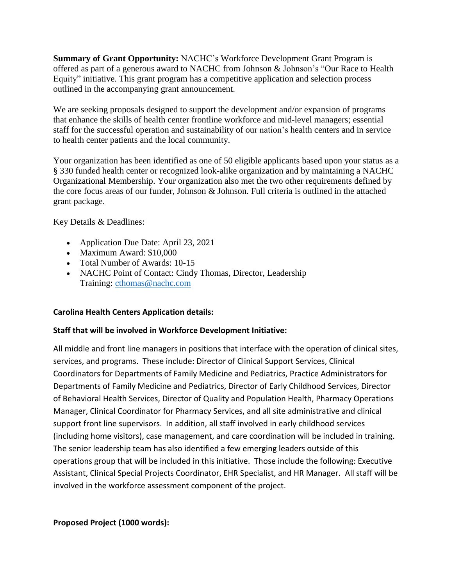**Summary of Grant Opportunity:** NACHC's Workforce Development Grant Program is offered as part of a generous award to NACHC from Johnson & Johnson's "Our Race to Health Equity" initiative. This grant program has a competitive application and selection process outlined in the accompanying grant announcement.

We are seeking proposals designed to support the development and/or expansion of programs that enhance the skills of health center frontline workforce and mid-level managers; essential staff for the successful operation and sustainability of our nation's health centers and in service to health center patients and the local community.

Your organization has been identified as one of 50 eligible applicants based upon your status as a § 330 funded health center or recognized look-alike organization and by maintaining a NACHC Organizational Membership. Your organization also met the two other requirements defined by the core focus areas of our funder, Johnson & Johnson. Full criteria is outlined in the attached grant package.

Key Details & Deadlines:

- Application Due Date: April 23, 2021
- Maximum Award: \$10,000
- Total Number of Awards: 10-15
- NACHC Point of Contact: Cindy Thomas, Director, Leadership Training: [cthomas@nachc.com](mailto:cthomas@nachc.com)

# **Carolina Health Centers Application details:**

# **Staff that will be involved in Workforce Development Initiative:**

All middle and front line managers in positions that interface with the operation of clinical sites, services, and programs. These include: Director of Clinical Support Services, Clinical Coordinators for Departments of Family Medicine and Pediatrics, Practice Administrators for Departments of Family Medicine and Pediatrics, Director of Early Childhood Services, Director of Behavioral Health Services, Director of Quality and Population Health, Pharmacy Operations Manager, Clinical Coordinator for Pharmacy Services, and all site administrative and clinical support front line supervisors. In addition, all staff involved in early childhood services (including home visitors), case management, and care coordination will be included in training. The senior leadership team has also identified a few emerging leaders outside of this operations group that will be included in this initiative. Those include the following: Executive Assistant, Clinical Special Projects Coordinator, EHR Specialist, and HR Manager. All staff will be involved in the workforce assessment component of the project.

# **Proposed Project (1000 words):**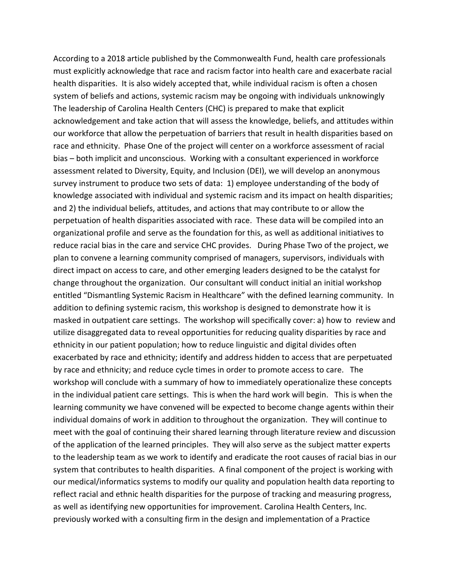According to a 2018 article published by the Commonwealth Fund, health care professionals must explicitly acknowledge that race and racism factor into health care and exacerbate racial health disparities. It is also widely accepted that, while individual racism is often a chosen system of beliefs and actions, systemic racism may be ongoing with individuals unknowingly The leadership of Carolina Health Centers (CHC) is prepared to make that explicit acknowledgement and take action that will assess the knowledge, beliefs, and attitudes within our workforce that allow the perpetuation of barriers that result in health disparities based on race and ethnicity. Phase One of the project will center on a workforce assessment of racial bias – both implicit and unconscious. Working with a consultant experienced in workforce assessment related to Diversity, Equity, and Inclusion (DEI), we will develop an anonymous survey instrument to produce two sets of data: 1) employee understanding of the body of knowledge associated with individual and systemic racism and its impact on health disparities; and 2) the individual beliefs, attitudes, and actions that may contribute to or allow the perpetuation of health disparities associated with race. These data will be compiled into an organizational profile and serve as the foundation for this, as well as additional initiatives to reduce racial bias in the care and service CHC provides. During Phase Two of the project, we plan to convene a learning community comprised of managers, supervisors, individuals with direct impact on access to care, and other emerging leaders designed to be the catalyst for change throughout the organization. Our consultant will conduct initial an initial workshop entitled "Dismantling Systemic Racism in Healthcare" with the defined learning community. In addition to defining systemic racism, this workshop is designed to demonstrate how it is masked in outpatient care settings. The workshop will specifically cover: a) how to review and utilize disaggregated data to reveal opportunities for reducing quality disparities by race and ethnicity in our patient population; how to reduce linguistic and digital divides often exacerbated by race and ethnicity; identify and address hidden to access that are perpetuated by race and ethnicity; and reduce cycle times in order to promote access to care. The workshop will conclude with a summary of how to immediately operationalize these concepts in the individual patient care settings. This is when the hard work will begin. This is when the learning community we have convened will be expected to become change agents within their individual domains of work in addition to throughout the organization. They will continue to meet with the goal of continuing their shared learning through literature review and discussion of the application of the learned principles. They will also serve as the subject matter experts to the leadership team as we work to identify and eradicate the root causes of racial bias in our system that contributes to health disparities. A final component of the project is working with our medical/informatics systems to modify our quality and population health data reporting to reflect racial and ethnic health disparities for the purpose of tracking and measuring progress, as well as identifying new opportunities for improvement. Carolina Health Centers, Inc. previously worked with a consulting firm in the design and implementation of a Practice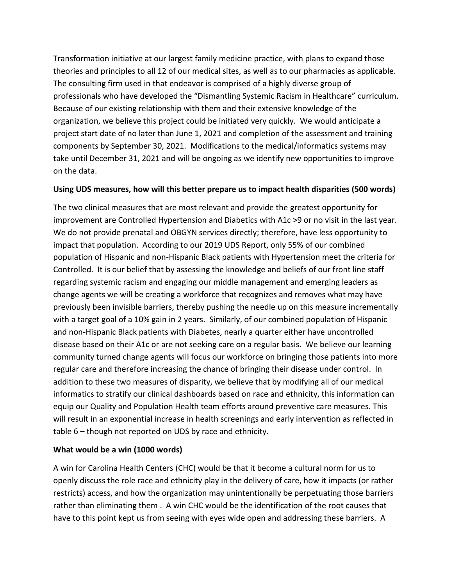Transformation initiative at our largest family medicine practice, with plans to expand those theories and principles to all 12 of our medical sites, as well as to our pharmacies as applicable. The consulting firm used in that endeavor is comprised of a highly diverse group of professionals who have developed the "Dismantling Systemic Racism in Healthcare" curriculum. Because of our existing relationship with them and their extensive knowledge of the organization, we believe this project could be initiated very quickly. We would anticipate a project start date of no later than June 1, 2021 and completion of the assessment and training components by September 30, 2021. Modifications to the medical/informatics systems may take until December 31, 2021 and will be ongoing as we identify new opportunities to improve on the data.

## **Using UDS measures, how will this better prepare us to impact health disparities (500 words)**

The two clinical measures that are most relevant and provide the greatest opportunity for improvement are Controlled Hypertension and Diabetics with A1c >9 or no visit in the last year. We do not provide prenatal and OBGYN services directly; therefore, have less opportunity to impact that population. According to our 2019 UDS Report, only 55% of our combined population of Hispanic and non-Hispanic Black patients with Hypertension meet the criteria for Controlled. It is our belief that by assessing the knowledge and beliefs of our front line staff regarding systemic racism and engaging our middle management and emerging leaders as change agents we will be creating a workforce that recognizes and removes what may have previously been invisible barriers, thereby pushing the needle up on this measure incrementally with a target goal of a 10% gain in 2 years. Similarly, of our combined population of Hispanic and non-Hispanic Black patients with Diabetes, nearly a quarter either have uncontrolled disease based on their A1c or are not seeking care on a regular basis. We believe our learning community turned change agents will focus our workforce on bringing those patients into more regular care and therefore increasing the chance of bringing their disease under control. In addition to these two measures of disparity, we believe that by modifying all of our medical informatics to stratify our clinical dashboards based on race and ethnicity, this information can equip our Quality and Population Health team efforts around preventive care measures. This will result in an exponential increase in health screenings and early intervention as reflected in table 6 – though not reported on UDS by race and ethnicity.

# **What would be a win (1000 words)**

A win for Carolina Health Centers (CHC) would be that it become a cultural norm for us to openly discuss the role race and ethnicity play in the delivery of care, how it impacts (or rather restricts) access, and how the organization may unintentionally be perpetuating those barriers rather than eliminating them . A win CHC would be the identification of the root causes that have to this point kept us from seeing with eyes wide open and addressing these barriers. A